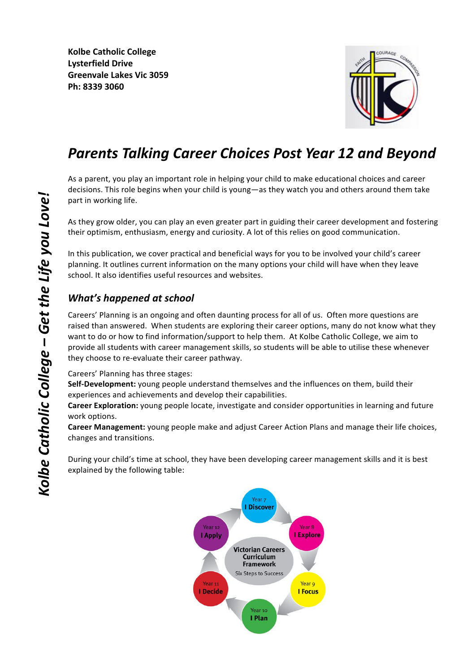

# *Parents Talking Career Choices Post Year 12 and Beyond*

As a parent, you play an important role in helping your child to make educational choices and career decisions. This role begins when your child is young—as they watch you and others around them take part in working life.

As they grow older, you can play an even greater part in guiding their career development and fostering their optimism, enthusiasm, energy and curiosity. A lot of this relies on good communication.

In this publication, we cover practical and beneficial ways for you to be involved your child's career planning. It outlines current information on the many options your child will have when they leave school. It also identifies useful resources and websites.

# *What's* happened at school

Careers' Planning is an ongoing and often daunting process for all of us. Often more questions are raised than answered. When students are exploring their career options, many do not know what they want to do or how to find information/support to help them. At Kolbe Catholic College, we aim to provide all students with career management skills, so students will be able to utilise these whenever they choose to re-evaluate their career pathway.

Careers' Planning has three stages:

**Self-Development:** young people understand themselves and the influences on them, build their experiences and achievements and develop their capabilities.

**Career Exploration:** young people locate, investigate and consider opportunities in learning and future work options.

**Career Management:** young people make and adjust Career Action Plans and manage their life choices, changes and transitions.

During your child's time at school, they have been developing career management skills and it is best explained by the following table:

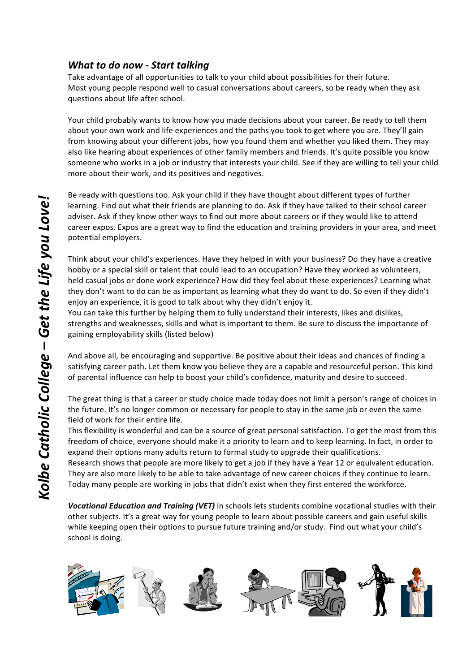## *What to do now - Start talking*

Take advantage of all opportunities to talk to your child about possibilities for their future. Most young people respond well to casual conversations about careers, so be ready when they ask questions about life after school.

Your child probably wants to know how you made decisions about your career. Be ready to tell them about your own work and life experiences and the paths you took to get where you are. They'll gain from knowing about your different jobs, how you found them and whether you liked them. They may also like hearing about experiences of other family members and friends. It's quite possible you know someone who works in a job or industry that interests your child. See if they are willing to tell your child more about their work, and its positives and negatives.

Be ready with questions too. Ask your child if they have thought about different types of further learning. Find out what their friends are planning to do. Ask if they have talked to their school career adviser. Ask if they know other ways to find out more about careers or if they would like to attend career expos. Expos are a great way to find the education and training providers in your area, and meet potential employers.

Think about your child's experiences. Have they helped in with your business? Do they have a creative hobby or a special skill or talent that could lead to an occupation? Have they worked as volunteers, held casual jobs or done work experience? How did they feel about these experiences? Learning what they don't want to do can be as important as learning what they do want to do. So even if they didn't enjoy an experience, it is good to talk about why they didn't enjoy it.

You can take this further by helping them to fully understand their interests, likes and dislikes, strengths and weaknesses, skills and what is important to them. Be sure to discuss the importance of gaining employability skills (listed below)

And above all, be encouraging and supportive. Be positive about their ideas and chances of finding a satisfying career path. Let them know you believe they are a capable and resourceful person. This kind of parental influence can help to boost your child's confidence, maturity and desire to succeed.

The great thing is that a career or study choice made today does not limit a person's range of choices in the future. It's no longer common or necessary for people to stay in the same job or even the same field of work for their entire life.

This flexibility is wonderful and can be a source of great personal satisfaction. To get the most from this freedom of choice, everyone should make it a priority to learn and to keep learning. In fact, in order to expand their options many adults return to formal study to upgrade their qualifications.

Research shows that people are more likely to get a job if they have a Year 12 or equivalent education. They are also more likely to be able to take advantage of new career choices if they continue to learn. Today many people are working in jobs that didn't exist when they first entered the workforce.

**Vocational Education and Training (VET)** in schools lets students combine vocational studies with their other subjects. It's a great way for young people to learn about possible careers and gain useful skills while keeping open their options to pursue future training and/or study. Find out what your child's school is doing.



*!*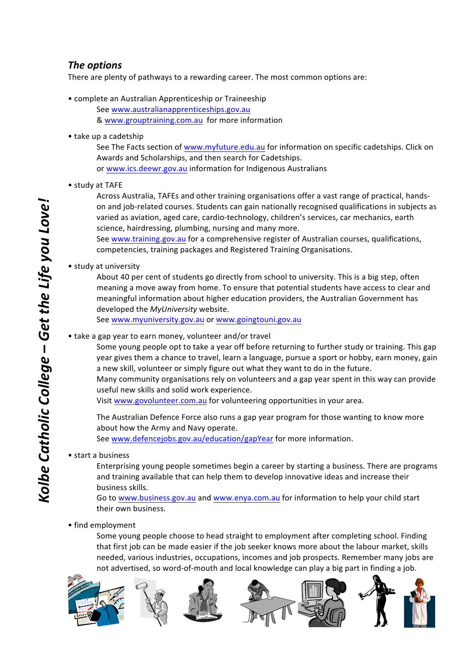## *The options*

There are plenty of pathways to a rewarding career. The most common options are:

- complete an Australian Apprenticeship or Traineeship See www.australianapprenticeships.gov.au & www.grouptraining.com.au for more information
- take up a cadetship

See The Facts section of www.myfuture.edu.au for information on specific cadetships. Click on Awards and Scholarships, and then search for Cadetships. or www.ics.deewr.gov.au information for Indigenous Australians

• study at TAFE

Across Australia, TAFEs and other training organisations offer a vast range of practical, handson and job-related courses. Students can gain nationally recognised qualifications in subjects as varied as aviation, aged care, cardio-technology, children's services, car mechanics, earth science, hairdressing, plumbing, nursing and many more.

See www.training.gov.au for a comprehensive register of Australian courses, qualifications, competencies, training packages and Registered Training Organisations.

#### • study at university

About 40 per cent of students go directly from school to university. This is a big step, often meaning a move away from home. To ensure that potential students have access to clear and meaningful information about higher education providers, the Australian Government has developed the *MyUniversity* website.

See www.myuniversity.gov.au or www.goingtouni.gov.au

• take a gap year to earn money, volunteer and/or travel

Some young people opt to take a year off before returning to further study or training. This gap year gives them a chance to travel, learn a language, pursue a sport or hobby, earn money, gain a new skill, volunteer or simply figure out what they want to do in the future. Many community organisations rely on volunteers and a gap year spent in this way can provide useful new skills and solid work experience.

Visit www.govolunteer.com.au for volunteering opportunities in your area.

The Australian Defence Force also runs a gap year program for those wanting to know more about how the Army and Navy operate. See www.defencejobs.gov.au/education/gapYear for more information.

#### • start a business

Enterprising young people sometimes begin a career by starting a business. There are programs and training available that can help them to develop innovative ideas and increase their business skills.

Go to www.business.gov.au and www.enya.com.au for information to help your child start their own business.

#### • find employment

Some young people choose to head straight to employment after completing school. Finding that first iob can be made easier if the iob seeker knows more about the labour market, skills needed, various industries, occupations, incomes and job prospects. Remember many jobs are not advertised, so word-of-mouth and local knowledge can play a big part in finding a job.